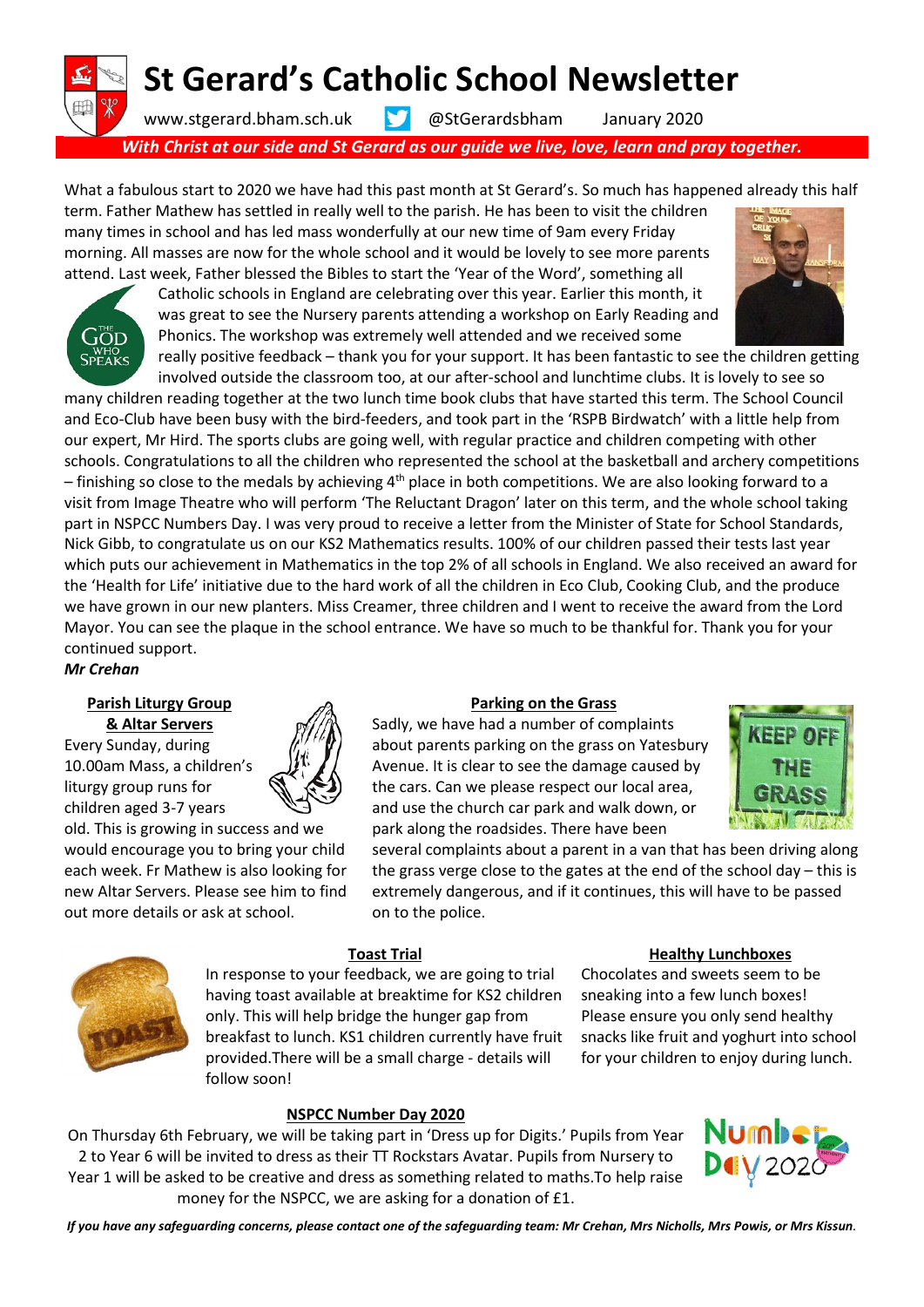# St Gerard's Catholic School Newsletter

www.stgerard.bham.sch.uk @StGerardsbham January 2020

With Christ at our side and St Gerard as our guide we live, love, learn and pray together.

What a fabulous start to 2020 we have had this past month at St Gerard's. So much has happened already this half term. Father Mathew has settled in really well to the parish. He has been to visit the children

many times in school and has led mass wonderfully at our new time of 9am every Friday morning. All masses are now for the whole school and it would be lovely to see more parents attend. Last week, Father blessed the Bibles to start the 'Year of the Word', something all



Catholic schools in England are celebrating over this year. Earlier this month, it was great to see the Nursery parents attending a workshop on Early Reading and Phonics. The workshop was extremely well attended and we received some really positive feedback – thank you for your support. It has been fantastic to see the children getting



Mr Crehan

#### Parish Liturgy Group & Altar Servers

Every Sunday, during 10.00am Mass, a children's liturgy group runs for children aged 3-7 years

old. This is growing in success and we would encourage you to bring your child each week. Fr Mathew is also looking for new Altar Servers. Please see him to find out more details or ask at school.



Sadly, we have had a number of complaints about parents parking on the grass on Yatesbury Avenue. It is clear to see the damage caused by the cars. Can we please respect our local area, and use the church car park and walk down, or park along the roadsides. There have been

several complaints about a parent in a van that has been driving along the grass verge close to the gates at the end of the school day – this is extremely dangerous, and if it continues, this will have to be passed on to the police.



## Toast Trial

In response to your feedback, we are going to trial having toast available at breaktime for KS2 children only. This will help bridge the hunger gap from breakfast to lunch. KS1 children currently have fruit provided.There will be a small charge - details will follow soon!

#### Healthy Lunchboxes

Chocolates and sweets seem to be sneaking into a few lunch boxes! Please ensure you only send healthy snacks like fruit and yoghurt into school for your children to enjoy during lunch.

# NSPCC Number Day 2020

On Thursday 6th February, we will be taking part in 'Dress up for Digits.' Pupils from Year 2 to Year 6 will be invited to dress as their TT Rockstars Avatar. Pupils from Nursery to Year 1 will be asked to be creative and dress as something related to maths.To help raise money for the NSPCC, we are asking for a donation of £1.



If you have any safeguarding concerns, please contact one of the safeguarding team: Mr Crehan, Mrs Nicholls, Mrs Powis, or Mrs Kissun.